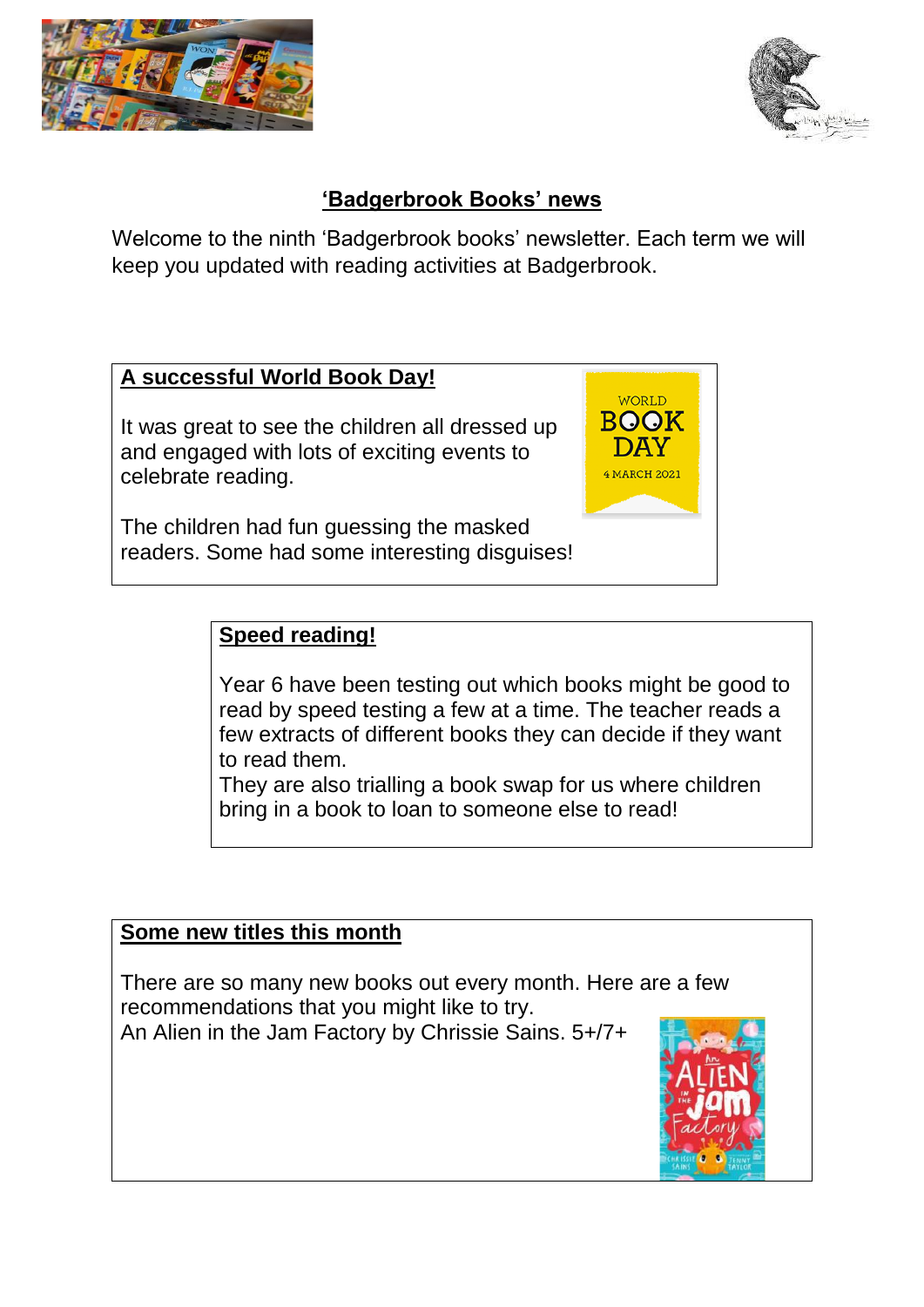



## **'Badgerbrook Books' news**

Welcome to the ninth 'Badgerbrook books' newsletter. Each term we will keep you updated with reading activities at Badgerbrook.

## **A successful World Book Day!**

It was great to see the children all dressed up and engaged with lots of exciting events to celebrate reading.

The children had fun guessing the masked readers. Some had some interesting disguises!

### **Speed reading!**

Year 6 have been testing out which books might be good to read by speed testing a few at a time. The teacher reads a few extracts of different books they can decide if they want to read them.

**WORLD BOOK DAY** 4 MARCH 2021

They are also trialling a book swap for us where children bring in a book to loan to someone else to read!

#### **Some new titles this month**

There are so many new books out every month. Here are a few recommendations that you might like to try.

An Alien in the Jam Factory by Chrissie Sains. 5+/7+